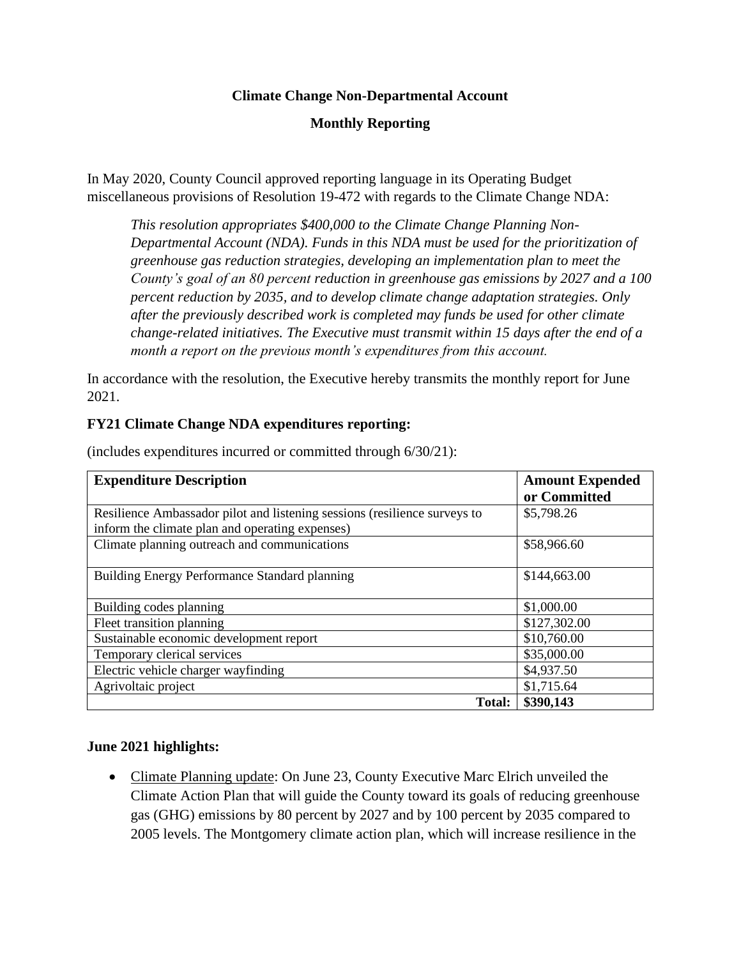## **Climate Change Non-Departmental Account**

# **Monthly Reporting**

In May 2020, County Council approved reporting language in its Operating Budget miscellaneous provisions of Resolution 19-472 with regards to the Climate Change NDA:

*This resolution appropriates \$400,000 to the Climate Change Planning Non-Departmental Account (NDA). Funds in this NDA must be used for the prioritization of greenhouse gas reduction strategies, developing an implementation plan to meet the County's goal of an 80 percent reduction in greenhouse gas emissions by 2027 and a 100 percent reduction by 2035, and to develop climate change adaptation strategies. Only after the previously described work is completed may funds be used for other climate change-related initiatives. The Executive must transmit within 15 days after the end of a month a report on the previous month's expenditures from this account.*

In accordance with the resolution, the Executive hereby transmits the monthly report for June 2021.

### **FY21 Climate Change NDA expenditures reporting:**

| <b>Expenditure Description</b>                                            | <b>Amount Expended</b> |
|---------------------------------------------------------------------------|------------------------|
|                                                                           | or Committed           |
| Resilience Ambassador pilot and listening sessions (resilience surveys to | \$5,798.26             |
| inform the climate plan and operating expenses)                           |                        |
| Climate planning outreach and communications                              | \$58,966.60            |
|                                                                           |                        |
| Building Energy Performance Standard planning                             | \$144,663.00           |
|                                                                           |                        |
| Building codes planning                                                   | \$1,000.00             |
| Fleet transition planning                                                 | \$127,302.00           |
| Sustainable economic development report                                   | \$10,760.00            |
| Temporary clerical services                                               | \$35,000.00            |
| Electric vehicle charger wayfinding                                       | \$4,937.50             |
| Agrivoltaic project                                                       | \$1,715.64             |
| Total:                                                                    | \$390,143              |

(includes expenditures incurred or committed through 6/30/21):

## **June 2021 highlights:**

• Climate Planning update: On June 23, County Executive Marc Elrich unveiled the Climate Action Plan that will guide the County toward its goals of reducing greenhouse gas (GHG) emissions by 80 percent by 2027 and by 100 percent by 2035 compared to 2005 levels. The Montgomery climate action plan, which will increase resilience in the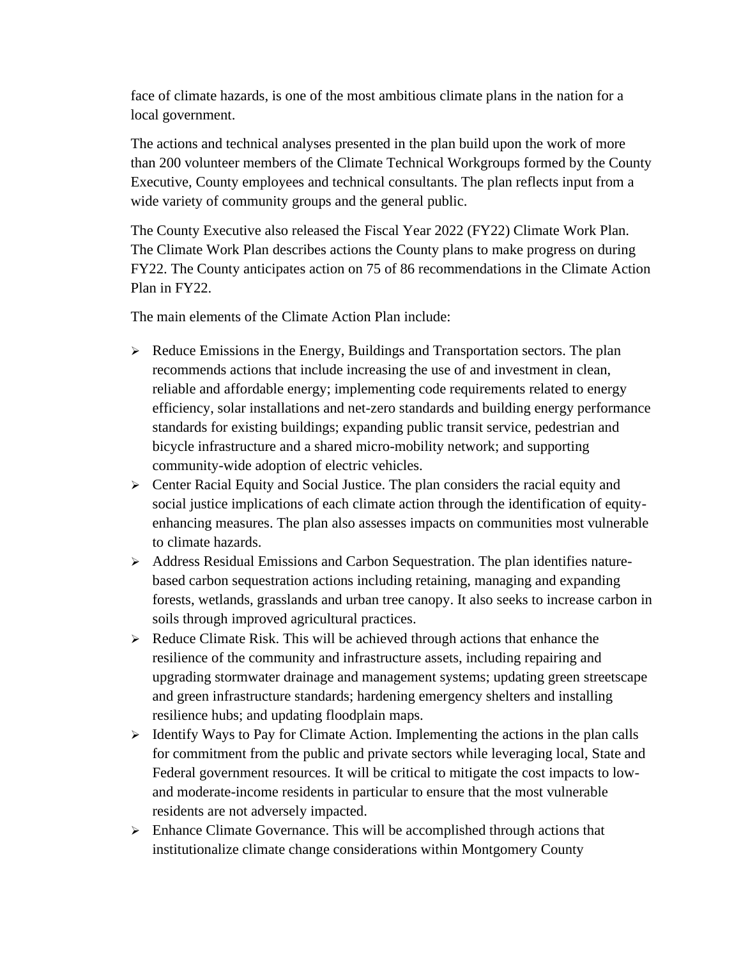face of climate hazards, is one of the most ambitious climate plans in the nation for a local government.

The actions and technical analyses presented in the plan build upon the work of more than 200 volunteer members of the Climate Technical Workgroups formed by the County Executive, County employees and technical consultants. The plan reflects input from a wide variety of community groups and the general public.

The County Executive also released the Fiscal Year 2022 (FY22) Climate Work Plan. The Climate Work Plan describes actions the County plans to make progress on during FY22. The County anticipates action on 75 of 86 recommendations in the Climate Action Plan in FY22.

The main elements of the Climate Action Plan include:

- ➢ Reduce Emissions in the Energy, Buildings and Transportation sectors. The plan recommends actions that include increasing the use of and investment in clean, reliable and affordable energy; implementing code requirements related to energy efficiency, solar installations and net-zero standards and building energy performance standards for existing buildings; expanding public transit service, pedestrian and bicycle infrastructure and a shared micro-mobility network; and supporting community-wide adoption of electric vehicles.
- ➢ Center Racial Equity and Social Justice. The plan considers the racial equity and social justice implications of each climate action through the identification of equityenhancing measures. The plan also assesses impacts on communities most vulnerable to climate hazards.
- ➢ Address Residual Emissions and Carbon Sequestration. The plan identifies naturebased carbon sequestration actions including retaining, managing and expanding forests, wetlands, grasslands and urban tree canopy. It also seeks to increase carbon in soils through improved agricultural practices.
- ➢ Reduce Climate Risk. This will be achieved through actions that enhance the resilience of the community and infrastructure assets, including repairing and upgrading stormwater drainage and management systems; updating green streetscape and green infrastructure standards; hardening emergency shelters and installing resilience hubs; and updating floodplain maps.
- $\triangleright$  Identify Ways to Pay for Climate Action. Implementing the actions in the plan calls for commitment from the public and private sectors while leveraging local, State and Federal government resources. It will be critical to mitigate the cost impacts to lowand moderate-income residents in particular to ensure that the most vulnerable residents are not adversely impacted.
- ➢ Enhance Climate Governance. This will be accomplished through actions that institutionalize climate change considerations within Montgomery County